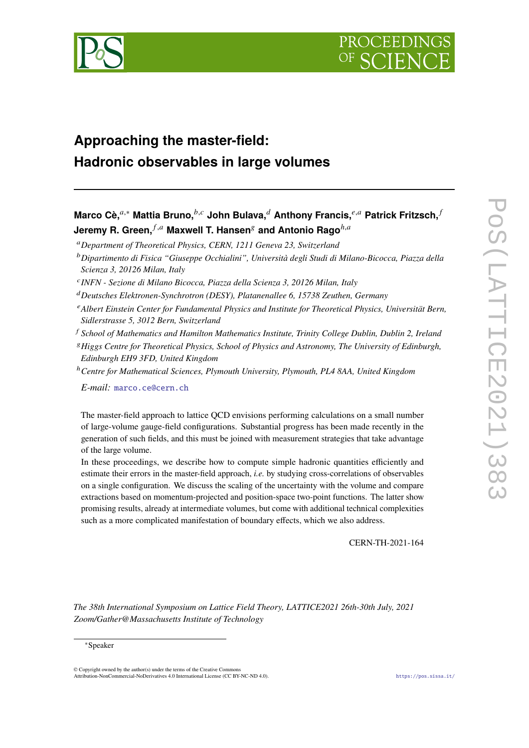

# **Approaching the master-field: Hadronic observables in large volumes**

**Marco Cè,**<sup>*a*,∗</sup> Mattia Bruno,<sup>*b,c*</sup> John Bulava,<sup>*d*</sup> Anthony Francis,<sup>*e*,*a*</sup> Patrick Fritzsch,<sup>*f*</sup> **Jeremy R. Green,**  $f, a$  **Maxwell T. Hansen** and Antonio Rago  $^{h,a}$ 

*Department of Theoretical Physics, CERN, 1211 Geneva 23, Switzerland*

*INFN - Sezione di Milano Bicocca, Piazza della Scienza 3, 20126 Milan, Italy*

*Deutsches Elektronen-Synchrotron (DESY), Platanenallee 6, 15738 Zeuthen, Germany*

- *Albert Einstein Center for Fundamental Physics and Institute for Theoretical Physics, Universität Bern, Sidlerstrasse 5, 3012 Bern, Switzerland*
- *School of Mathematics and Hamilton Mathematics Institute, Trinity College Dublin, Dublin 2, Ireland*
- *Higgs Centre for Theoretical Physics, School of Physics and Astronomy, The University of Edinburgh, Edinburgh EH9 3FD, United Kingdom*
- <sup>ℎ</sup>*Centre for Mathematical Sciences, Plymouth University, Plymouth, PL4 8AA, United Kingdom*

*E-mail:* [marco.ce@cern.ch](mailto:marco.ce@cern.ch)

The master-field approach to lattice QCD envisions performing calculations on a small number of large-volume gauge-field configurations. Substantial progress has been made recently in the generation of such fields, and this must be joined with measurement strategies that take advantage of the large volume.

In these proceedings, we describe how to compute simple hadronic quantities efficiently and estimate their errors in the master-field approach, *i.e.* by studying cross-correlations of observables on a single configuration. We discuss the scaling of the uncertainty with the volume and compare extractions based on momentum-projected and position-space two-point functions. The latter show promising results, already at intermediate volumes, but come with additional technical complexities such as a more complicated manifestation of boundary effects, which we also address.

CERN-TH-2021-164

*The 38th International Symposium on Lattice Field Theory, LATTICE2021 26th-30th July, 2021 Zoom/Gather@Massachusetts Institute of Technology*

© Copyright owned by the author(s) under the terms of the Creative Commons Attribution-NonCommercial-NoDerivatives 4.0 International License (CC BY-NC-ND 4.0). <https://pos.sissa.it/>

*Dipartimento di Fisica "Giuseppe Occhialini", Università degli Studi di Milano-Bicocca, Piazza della Scienza 3, 20126 Milan, Italy*

<sup>∗</sup>Speaker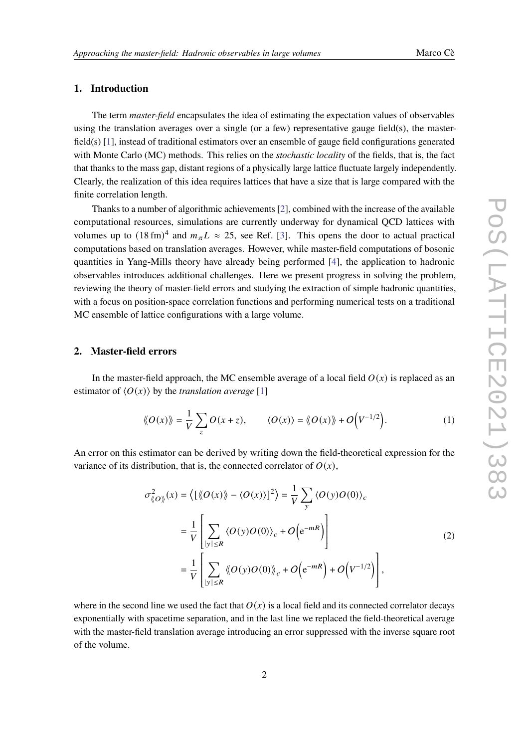# **1. Introduction**

The term *master-field* encapsulates the idea of estimating the expectation values of observables using the translation averages over a single (or a few) representative gauge field(s), the masterfield(s) [\[1\]](#page-7-0), instead of traditional estimators over an ensemble of gauge field configurations generated with Monte Carlo (MC) methods. This relies on the *stochastic locality* of the fields, that is, the fact that thanks to the mass gap, distant regions of a physically large lattice fluctuate largely independently. Clearly, the realization of this idea requires lattices that have a size that is large compared with the finite correlation length.

Thanks to a number of algorithmic achievements [\[2\]](#page-7-1), combined with the increase of the available computational resources, simulations are currently underway for dynamical QCD lattices with volumes up to  $(18 \text{ fm})^4$  and  $m_{\pi}L \approx 25$ , see Ref. [\[3\]](#page-7-2). This opens the door to actual practical computations based on translation averages. However, while master-field computations of bosonic quantities in Yang-Mills theory have already being performed [\[4\]](#page-7-3), the application to hadronic observables introduces additional challenges. Here we present progress in solving the problem, reviewing the theory of master-field errors and studying the extraction of simple hadronic quantities, with a focus on position-space correlation functions and performing numerical tests on a traditional MC ensemble of lattice configurations with a large volume.

### **2. Master-field errors**

In the master-field approach, the MC ensemble average of a local field  $O(x)$  is replaced as an estimator of  $\langle O(x) \rangle$  by the *translation average* [\[1\]](#page-7-0)

$$
\langle O(x)\rangle = \frac{1}{V} \sum_{z} O(x+z), \qquad \langle O(x)\rangle = \langle O(x)\rangle + O\Big(V^{-1/2}\Big). \tag{1}
$$

An error on this estimator can be derived by writing down the field-theoretical expression for the variance of its distribution, that is, the connected correlator of  $O(x)$ ,

$$
\sigma_{\langle O \rangle}^2(x) = \langle [\langle O(x) \rangle - \langle O(x) \rangle]^2 \rangle = \frac{1}{V} \sum_{y} \langle O(y)O(0) \rangle_c
$$
  
= 
$$
\frac{1}{V} \left[ \sum_{|y| \le R} \langle O(y)O(0) \rangle_c + O(e^{-mR}) \right]
$$
  
= 
$$
\frac{1}{V} \left[ \sum_{|y| \le R} \langle O(y)O(0) \rangle_c + O(e^{-mR}) + O(V^{-1/2}) \right],
$$
 (2)

<span id="page-1-0"></span>where in the second line we used the fact that  $O(x)$  is a local field and its connected correlator decays exponentially with spacetime separation, and in the last line we replaced the field-theoretical average with the master-field translation average introducing an error suppressed with the inverse square root of the volume.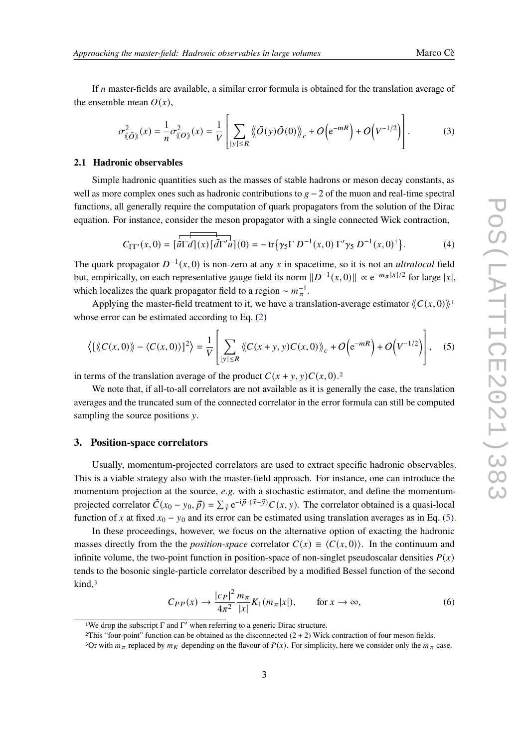If  $n$  master-fields are available, a similar error formula is obtained for the translation average of the ensemble mean  $\overline{O}(x)$ ,

$$
\sigma_{\langle\!\langle \mathbf{O} \rangle\!\rangle}^2(x) = \frac{1}{n} \sigma_{\langle\!\langle \mathbf{O} \rangle\!\rangle}^2(x) = \frac{1}{V} \left[ \sum_{|y| \le R} \langle\!\langle \mathbf{O}(y) \mathbf{O}(0) \rangle\!\rangle_c + O\left(\mathrm{e}^{-mR}\right) + O\left(\mathrm{V}^{-1/2}\right) \right]. \tag{3}
$$

#### **2.1 Hadronic observables**

Simple hadronic quantities such as the masses of stable hadrons or meson decay constants, as well as more complex ones such as hadronic contributions to  $g - 2$  of the muon and real-time spectral functions, all generally require the computation of quark propagators from the solution of the Dirac equation. For instance, consider the meson propagator with a single connected Wick contraction,

$$
C_{\Gamma\Gamma'}(x,0) = \left[\overline{u}\overline{\Gamma d}](x)\left[\overline{d}\Gamma'u\right](0) = -\operatorname{tr}\left\{\gamma_5\Gamma D^{-1}(x,0)\Gamma'\gamma_5 D^{-1}(x,0)^\dagger\right\}.\tag{4}
$$

The quark propagator  $D^{-1}(x, 0)$  is non-zero at any x in spacetime, so it is not an *ultralocal* field but, empirically, on each representative gauge field its norm  $||D^{-1}(x,0)|| \propto e^{-m_{\pi}|x|/2}$  for large  $|x|$ , which localizes the quark propagator field to a region ~  $m_{\pi}^{-1}$ .

Applying the master-field treatment to it, we have a translation-average estimator  $\langle C(x, 0) \rangle$ <sup>[1](#page-2-0)</sup> whose error can be estimated according to Eq. [\(2\)](#page-1-0)

<span id="page-2-2"></span>
$$
\left\langle \left[ \langle C(x,0) \rangle \rangle - \langle C(x,0) \rangle \right]^2 \right\rangle = \frac{1}{V} \left[ \sum_{|y| \le R} \langle C(x+y,y)C(x,0) \rangle \rangle_c + O\left(e^{-mR}\right) + O\left(V^{-1/2}\right) \right], \quad (5)
$$

in terms of the translation average of the product  $C(x + y, y)C(x, 0).$ <sup>[2](#page-2-1)</sup>

We note that, if all-to-all correlators are not available as it is generally the case, the translation averages and the truncated sum of the connected correlator in the error formula can still be computed sampling the source positions  $\nu$ .

#### **3. Position-space correlators**

Usually, momentum-projected correlators are used to extract specific hadronic observables. This is a viable strategy also with the master-field approach. For instance, one can introduce the momentum projection at the source, *e.g.* with a stochastic estimator, and define the momentumprojected correlator  $\tilde{C}(x_0 - y_0, \vec{p}) = \sum_{\vec{y}} e^{-i\vec{p} \cdot (\vec{x} - \vec{y})} C(x, y)$ . The correlator obtained is a quasi-local function of x at fixed  $x_0 - y_0$  and its error can be estimated using translation averages as in Eq. [\(5\)](#page-2-2).

In these proceedings, however, we focus on the alternative option of exacting the hadronic masses directly from the the *position-space* correlator  $C(x) \equiv \langle C(x, 0) \rangle$ . In the continuum and infinite volume, the two-point function in position-space of non-singlet pseudoscalar densities  $P(x)$ tends to the bosonic single-particle correlator described by a modified Bessel function of the second  $\mathrm{kind}$ , $3$ 

<span id="page-2-4"></span>
$$
C_{PP}(x) \to \frac{|c_P|^2}{4\pi^2} \frac{m_\pi}{|x|} K_1(m_\pi |x|), \qquad \text{for } x \to \infty,
$$
 (6)

<span id="page-2-0"></span><sup>&</sup>lt;sup>1</sup>We drop the subscript  $\Gamma$  and  $\Gamma'$  when referring to a generic Dirac structure.

<span id="page-2-1"></span><sup>&</sup>lt;sup>2</sup>This "four-point" function can be obtained as the disconnected  $(2 + 2)$  Wick contraction of four meson fields.

<span id="page-2-3"></span><sup>&</sup>lt;sup>3</sup>Or with  $m_{\pi}$  replaced by  $m_K$  depending on the flavour of  $P(x)$ . For simplicity, here we consider only the  $m_{\pi}$  case.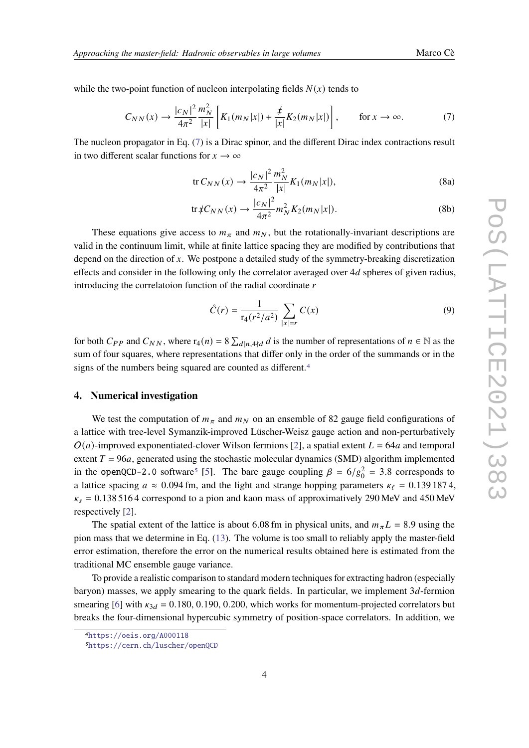while the two-point function of nucleon interpolating fields  $N(x)$  tends to

<span id="page-3-0"></span>
$$
C_{NN}(x) \to \frac{|c_N|^2 m_N^2}{4\pi^2} \left[ K_1(m_N|x|) + \frac{\rlap{\,/}{x}}{|x|} K_2(m_N|x|) \right], \qquad \text{for } x \to \infty. \tag{7}
$$

The nucleon propagator in Eq. [\(7\)](#page-3-0) is a Dirac spinor, and the different Dirac index contractions result in two different scalar functions for  $x \to \infty$ 

<span id="page-3-3"></span>
$$
\text{tr}\,C_{NN}(x) \to \frac{|c_N|^2}{4\pi^2} \frac{m_N^2}{|x|} K_1(m_N|x|),\tag{8a}
$$

<span id="page-3-4"></span>
$$
\text{tr}\, \sharp C_{NN}(x) \to \frac{|c_N|^2}{4\pi^2} m_N^2 K_2(m_N|x|). \tag{8b}
$$

These equations give access to  $m<sub>\pi</sub>$  and  $m<sub>N</sub>$ , but the rotationally-invariant descriptions are valid in the continuum limit, while at finite lattice spacing they are modified by contributions that depend on the direction of  $x$ . We postpone a detailed study of the symmetry-breaking discretization effects and consider in the following only the correlator averaged over  $4d$  spheres of given radius, introducing the correlatoion function of the radial coordinate  $r$ 

$$
\mathcal{\hat{C}}(r) = \frac{1}{\mathbf{r}_4(r^2/a^2)} \sum_{|x|=r} C(x)
$$
\n(9)

for both  $C_{PP}$  and  $C_{NN}$ , where  $r_4(n) = 8 \sum_{d|n,4 \nmid d} d$  is the number of representations of  $n \in \mathbb{N}$  as the sum of four squares, where representations that differ only in the order of the summands or in the signs of the numbers being squared are counted as different.<sup>[4](#page-3-1)</sup>

## **4. Numerical investigation**

We test the computation of  $m<sub>\pi</sub>$  and  $m<sub>N</sub>$  on an ensemble of 82 gauge field configurations of a lattice with tree-level Symanzik-improved Lüscher-Weisz gauge action and non-perturbatively  $O(a)$ -improved exponentiated-clover Wilson fermions [\[2\]](#page-7-1), a spatial extent  $L = 64a$  and temporal extent  $T = 96a$ , generated using the stochastic molecular dynamics (SMD) algorithm implemented in the openQCD-2.0 software<sup>[5](#page-3-2)</sup> [\[5\]](#page-8-0). The bare gauge coupling  $\beta = 6/g_0^2 = 3.8$  corresponds to a lattice spacing  $a \approx 0.094$  fm, and the light and strange hopping parameters  $\kappa_{\ell} = 0.1391874$ ,  $\kappa_s = 0.1385164$  correspond to a pion and kaon mass of approximatively 290 MeV and 450 MeV respectively [\[2\]](#page-7-1).

The spatial extent of the lattice is about 6.08 fm in physical units, and  $m_{\pi}L = 8.9$  using the pion mass that we determine in Eq. [\(13\)](#page-5-0). The volume is too small to reliably apply the master-field error estimation, therefore the error on the numerical results obtained here is estimated from the traditional MC ensemble gauge variance.

To provide a realistic comparison to standard modern techniques for extracting hadron (especially baryon) masses, we apply smearing to the quark fields. In particular, we implement  $3d$ -fermion smearing [\[6\]](#page-8-1) with  $\kappa_{3d} = 0.180, 0.190, 0.200$ , which works for momentum-projected correlators but breaks the four-dimensional hypercubic symmetry of position-space correlators. In addition, we

<span id="page-3-1"></span><sup>4</sup><https://oeis.org/A000118>

<span id="page-3-2"></span><sup>5</sup><https://cern.ch/luscher/openQCD>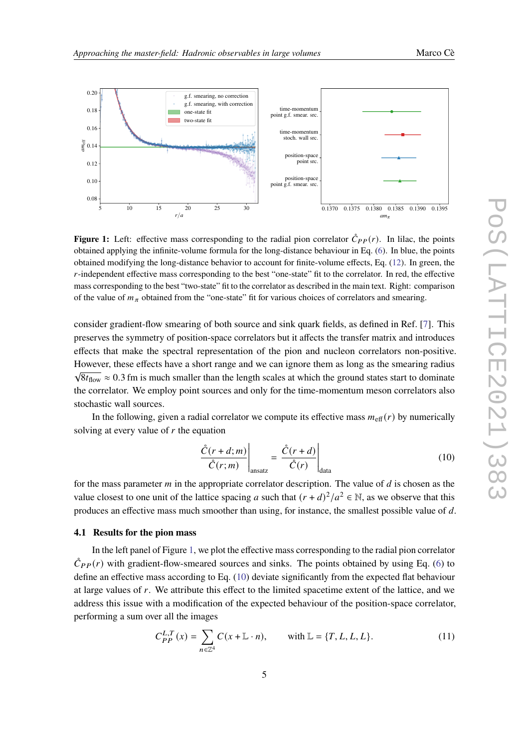

<span id="page-4-0"></span>

**Figure 1:** Left: effective mass corresponding to the radial pion correlator  $\hat{C}_{PP}(r)$ . In lilac, the points obtained applying the infinite-volume formula for the long-distance behaviour in Eq. [\(6\)](#page-2-4). In blue, the points obtained modifying the long-distance behavior to account for finite-volume effects, Eq. [\(12\)](#page-5-1). In green, the -independent effective mass corresponding to the best "one-state" fit to the correlator. In red, the effective mass corresponding to the best "two-state" fit to the correlator as described in the main text. Right: comparison of the value of  $m_{\pi}$  obtained from the "one-state" fit for various choices of correlators and smearing.

consider gradient-flow smearing of both source and sink quark fields, as defined in Ref. [\[7\]](#page-8-2). This preserves the symmetry of position-space correlators but it affects the transfer matrix and introduces effects that make the spectral representation of the pion and nucleon correlators non-positive. However, these effects have a short range and we can ignore them as long as the smearing radius  $\sqrt{8t_{flow}} \approx 0.3$  fm is much smaller than the length scales at which the ground states start to dominate the correlator. We employ point sources and only for the time-momentum meson correlators also stochastic wall sources.

In the following, given a radial correlator we compute its effective mass  $m_{\text{eff}}(r)$  by numerically solving at every value of  $r$  the equation

<span id="page-4-1"></span>
$$
\left. \frac{\dot{C}(r+d;m)}{\dot{C}(r;m)} \right|_{\text{ansatz}} = \left. \frac{\dot{C}(r+d)}{\dot{C}(r)} \right|_{\text{data}} \tag{10}
$$

for the mass parameter  $m$  in the appropriate correlator description. The value of  $d$  is chosen as the value closest to one unit of the lattice spacing a such that  $(r + d)^2/a^2 \in \mathbb{N}$ , as we observe that this produces an effective mass much smoother than using, for instance, the smallest possible value of  $d$ .

## **4.1 Results for the pion mass**

In the left panel of Figure [1,](#page-4-0) we plot the effective mass corresponding to the radial pion correlator  $\tilde{C}_{PP}(r)$  with gradient-flow-smeared sources and sinks. The points obtained by using Eq. [\(6\)](#page-2-4) to define an effective mass according to Eq. [\(10\)](#page-4-1) deviate significantly from the expected flat behaviour at large values of  $r$ . We attribute this effect to the limited spacetime extent of the lattice, and we address this issue with a modification of the expected behaviour of the position-space correlator, performing a sum over all the images

$$
C_{PP}^{L,T}(x) = \sum_{n \in \mathbb{Z}^4} C(x + \mathbb{L} \cdot n), \quad \text{with } \mathbb{L} = \{T, L, L, L\}.
$$
 (11)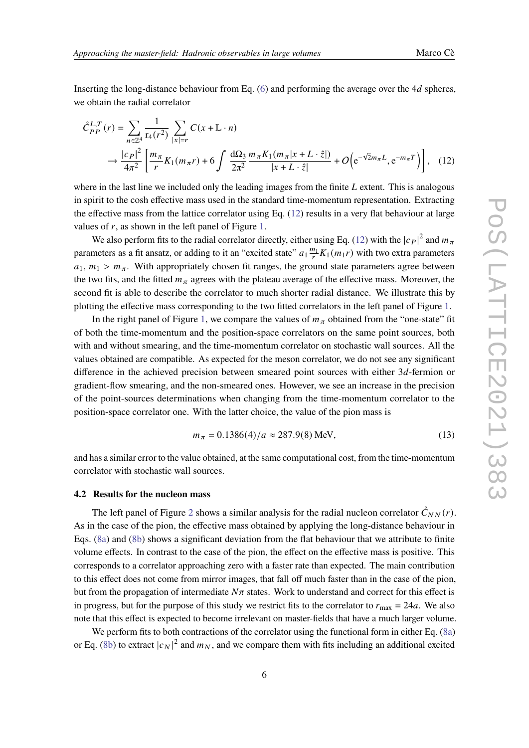Inserting the long-distance behaviour from Eq.  $(6)$  and performing the average over the 4d spheres, we obtain the radial correlator

<span id="page-5-1"></span>
$$
\tilde{C}_{PP}^{L,T}(r) = \sum_{n \in \mathbb{Z}^4} \frac{1}{\mathrm{r}_4(r^2)} \sum_{|x|=r} C(x + \mathbb{L} \cdot n)
$$
  
 
$$
\to \frac{|c_P|^2}{4\pi^2} \left[ \frac{m_\pi}{r} K_1(m_\pi r) + 6 \int \frac{d\Omega_3}{2\pi^2} \frac{m_\pi K_1(m_\pi |x + L \cdot \hat{z}|)}{|x + L \cdot \hat{z}|} + O\Big(e^{-\sqrt{2}m_\pi L}, e^{-m_\pi T}\Big) \right], \quad (12)
$$

where in the last line we included only the leading images from the finite  $L$  extent. This is analogous in spirit to the cosh effective mass used in the standard time-momentum representation. Extracting the effective mass from the lattice correlator using Eq. [\(12\)](#page-5-1) results in a very flat behaviour at large values of  $r$ , as shown in the left panel of Figure [1.](#page-4-0)

We also perform fits to the radial correlator directly, either using Eq. [\(12\)](#page-5-1) with the  $|c_P|^2$  and  $m_\pi$ parameters as a fit ansatz, or adding to it an "excited state"  $a_1 \frac{m_1}{r} K_1(m_1 r)$  with two extra parameters  $a_1, m_1 > m_\pi$ . With appropriately chosen fit ranges, the ground state parameters agree between the two fits, and the fitted  $m_{\pi}$  agrees with the plateau average of the effective mass. Moreover, the second fit is able to describe the correlator to much shorter radial distance. We illustrate this by plotting the effective mass corresponding to the two fitted correlators in the left panel of Figure [1.](#page-4-0)

In the right panel of Figure [1,](#page-4-0) we compare the values of  $m<sub>\pi</sub>$  obtained from the "one-state" fit of both the time-momentum and the position-space correlators on the same point sources, both with and without smearing, and the time-momentum correlator on stochastic wall sources. All the values obtained are compatible. As expected for the meson correlator, we do not see any significant difference in the achieved precision between smeared point sources with either  $3d$ -fermion or gradient-flow smearing, and the non-smeared ones. However, we see an increase in the precision of the point-sources determinations when changing from the time-momentum correlator to the position-space correlator one. With the latter choice, the value of the pion mass is

<span id="page-5-0"></span>
$$
m_{\pi} = 0.1386(4)/a \approx 287.9(8) \text{ MeV},\tag{13}
$$

and has a similar error to the value obtained, at the same computational cost, from the time-momentum correlator with stochastic wall sources.

#### **4.2 Results for the nucleon mass**

The left panel of Figure [2](#page-6-0) shows a similar analysis for the radial nucleon correlator  $\mathring{C}_{NN}(r)$ . As in the case of the pion, the effective mass obtained by applying the long-distance behaviour in Eqs. [\(8a\)](#page-3-3) and [\(8b\)](#page-3-4) shows a significant deviation from the flat behaviour that we attribute to finite volume effects. In contrast to the case of the pion, the effect on the effective mass is positive. This corresponds to a correlator approaching zero with a faster rate than expected. The main contribution to this effect does not come from mirror images, that fall off much faster than in the case of the pion, but from the propagation of intermediate  $N\pi$  states. Work to understand and correct for this effect is in progress, but for the purpose of this study we restrict fits to the correlator to  $r_{\text{max}} = 24a$ . We also note that this effect is expected to become irrelevant on master-fields that have a much larger volume.

We perform fits to both contractions of the correlator using the functional form in either Eq. [\(8a\)](#page-3-3) or Eq. [\(8b\)](#page-3-4) to extract  $|c_N|^2$  and  $m_N$ , and we compare them with fits including an additional excited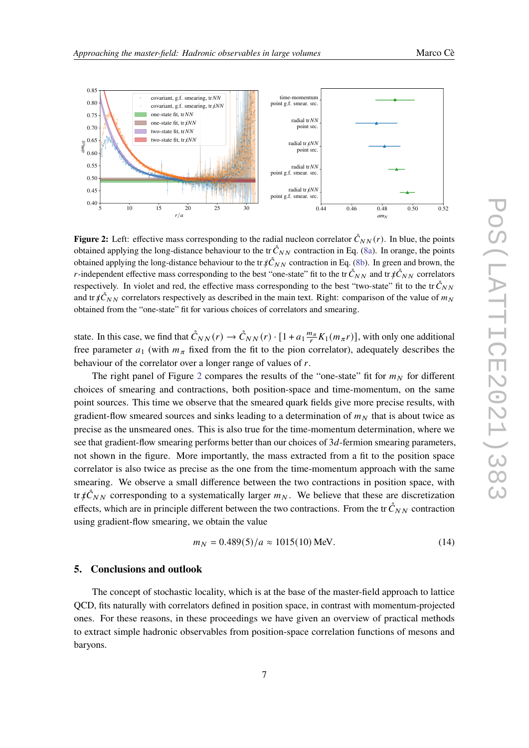<span id="page-6-0"></span>

**Figure 2:** Left: effective mass corresponding to the radial nucleon correlator  $\mathring{C}_{NN}(r)$ . In blue, the points obtained applying the long-distance behaviour to the tr  $\mathring{C}_{NN}$  contraction in Eq. [\(8a\)](#page-3-3). In orange, the points obtained applying the long-distance behaviour to the tr  $\sharp \mathcal{C}_{NN}$  contraction in Eq. [\(8b\)](#page-3-4). In green and brown, the *r*-independent effective mass corresponding to the best "one-state" fit to the tr  $\check{C}_{NN}$  and tr  $\sharp \check{C}_{NN}$  correlators respectively. In violet and red, the effective mass corresponding to the best "two-state" fit to the tr $\mathring{C}_{NN}$ and tr  $\chi \mathcal{C}_{NN}$  correlators respectively as described in the main text. Right: comparison of the value of  $m_N$ obtained from the "one-state" fit for various choices of correlators and smearing.

state. In this case, we find that  $\mathring{C}_{NN}(r) \to \mathring{C}_{NN}(r) \cdot [1 + a_1 \frac{m_\pi}{r} K_1(m_\pi r)]$ , with only one additional free parameter  $a_1$  (with  $m_\pi$  fixed from the fit to the pion correlator), adequately describes the behaviour of the correlator over a longer range of values of  $r$ .

The right panel of Figure [2](#page-6-0) compares the results of the "one-state" fit for  $m<sub>N</sub>$  for different choices of smearing and contractions, both position-space and time-momentum, on the same point sources. This time we observe that the smeared quark fields give more precise results, with gradient-flow smeared sources and sinks leading to a determination of  $m<sub>N</sub>$  that is about twice as precise as the unsmeared ones. This is also true for the time-momentum determination, where we see that gradient-flow smearing performs better than our choices of  $3d$ -fermion smearing parameters, not shown in the figure. More importantly, the mass extracted from a fit to the position space correlator is also twice as precise as the one from the time-momentum approach with the same smearing. We observe a small difference between the two contractions in position space, with tr  $\oint \mathcal{C}_{NN}$  corresponding to a systematically larger  $m_N$ . We believe that these are discretization effects, which are in principle different between the two contractions. From the tr $\check{C}_{NN}$  contraction using gradient-flow smearing, we obtain the value

$$
m_N = 0.489(5)/a \approx 1015(10) \text{ MeV}.
$$
 (14)

## **5. Conclusions and outlook**

The concept of stochastic locality, which is at the base of the master-field approach to lattice QCD, fits naturally with correlators defined in position space, in contrast with momentum-projected ones. For these reasons, in these proceedings we have given an overview of practical methods to extract simple hadronic observables from position-space correlation functions of mesons and baryons.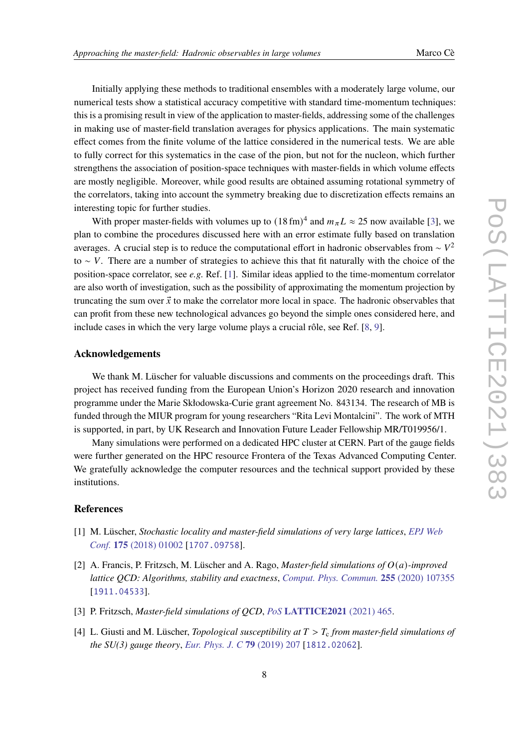Initially applying these methods to traditional ensembles with a moderately large volume, our numerical tests show a statistical accuracy competitive with standard time-momentum techniques: this is a promising result in view of the application to master-fields, addressing some of the challenges in making use of master-field translation averages for physics applications. The main systematic effect comes from the finite volume of the lattice considered in the numerical tests. We are able to fully correct for this systematics in the case of the pion, but not for the nucleon, which further strengthens the association of position-space techniques with master-fields in which volume effects are mostly negligible. Moreover, while good results are obtained assuming rotational symmetry of the correlators, taking into account the symmetry breaking due to discretization effects remains an interesting topic for further studies.

With proper master-fields with volumes up to  $(18 \text{ fm})^4$  and  $m_{\pi}L \approx 25$  now available [\[3\]](#page-7-2), we plan to combine the procedures discussed here with an error estimate fully based on translation averages. A crucial step is to reduce the computational effort in hadronic observables from  $\sim V^2$ to ∼ V. There are a number of strategies to achieve this that fit naturally with the choice of the position-space correlator, see *e.g.* Ref. [\[1\]](#page-7-0). Similar ideas applied to the time-momentum correlator are also worth of investigation, such as the possibility of approximating the momentum projection by truncating the sum over  $\vec{x}$  to make the correlator more local in space. The hadronic observables that can profit from these new technological advances go beyond the simple ones considered here, and include cases in which the very large volume plays a crucial rôle, see Ref. [\[8,](#page-8-3) [9\]](#page-8-4).

## **Acknowledgements**

We thank M. Lüscher for valuable discussions and comments on the proceedings draft. This project has received funding from the European Union's Horizon 2020 research and innovation programme under the Marie Skłodowska-Curie grant agreement No. 843134. The research of MB is funded through the MIUR program for young researchers "Rita Levi Montalcini". The work of MTH is supported, in part, by UK Research and Innovation Future Leader Fellowship MR/T019956/1.

Many simulations were performed on a dedicated HPC cluster at CERN. Part of the gauge fields were further generated on the HPC resource Frontera of the Texas Advanced Computing Center. We gratefully acknowledge the computer resources and the technical support provided by these institutions.

## **References**

- <span id="page-7-0"></span>[1] M. Lüscher, *Stochastic locality and master-field simulations of very large lattices*, *[EPJ Web](https://doi.org/10.1051/epjconf/201817501002) Conf.* **175** [\(2018\) 01002](https://doi.org/10.1051/epjconf/201817501002) [[1707.09758](https://arxiv.org/abs/1707.09758)].
- <span id="page-7-1"></span>[2] A. Francis, P. Fritzsch, M. Lüscher and A. Rago, *Master-field simulations of* ()*-improved lattice QCD: Algorithms, stability and exactness*, *[Comput. Phys. Commun.](https://doi.org/10.1016/j.cpc.2020.107355)* **255** (2020) 107355 [[1911.04533](https://arxiv.org/abs/1911.04533)].
- <span id="page-7-2"></span>[3] P. Fritzsch, *Master-field simulations of QCD*, *PoS* **[LATTICE2021](https://doi.org/10.22323/1.396.0465)** (2021) 465.
- <span id="page-7-3"></span>[4] L. Giusti and M. Lüscher, *Topological susceptibility at*  $T > T_c$  *from master-field simulations of the SU(3) gauge theory*, *[Eur. Phys. J. C](https://doi.org/10.1140/epjc/s10052-019-6706-7)* **79** (2019) 207 [[1812.02062](https://arxiv.org/abs/1812.02062)].